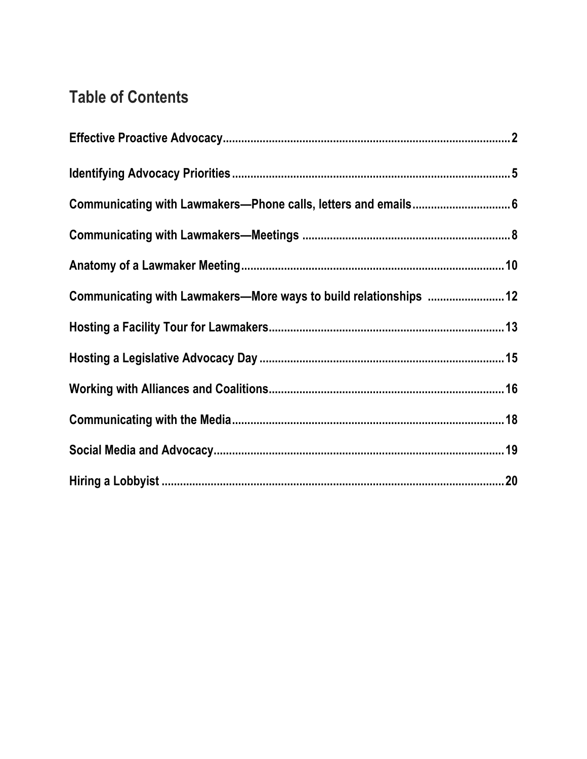# **Table of Contents**

| Communicating with Lawmakers-Phone calls, letters and emails 6    |
|-------------------------------------------------------------------|
|                                                                   |
|                                                                   |
| Communicating with Lawmakers-More ways to build relationships  12 |
|                                                                   |
|                                                                   |
|                                                                   |
|                                                                   |
|                                                                   |
|                                                                   |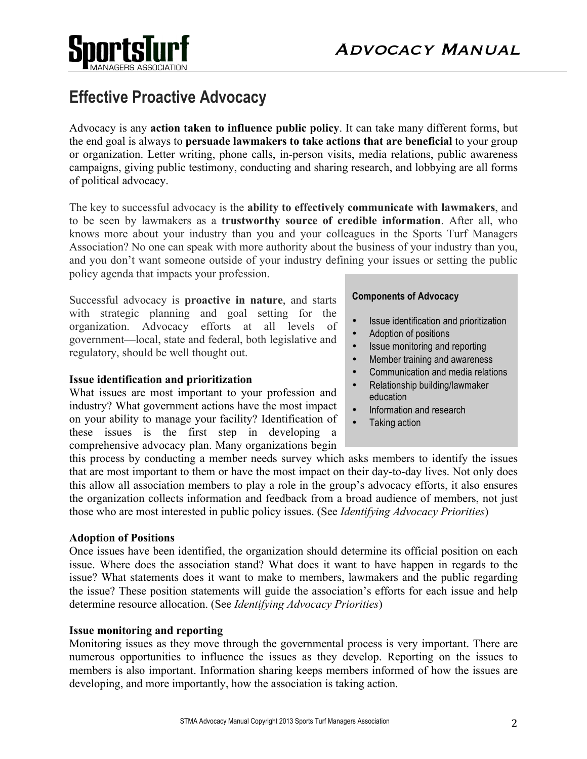



# **Effective Proactive Advocacy**

Advocacy is any **action taken to influence public policy**. It can take many different forms, but the end goal is always to **persuade lawmakers to take actions that are beneficial** to your group or organization. Letter writing, phone calls, in-person visits, media relations, public awareness campaigns, giving public testimony, conducting and sharing research, and lobbying are all forms of political advocacy.

The key to successful advocacy is the **ability to effectively communicate with lawmakers**, and to be seen by lawmakers as a **trustworthy source of credible information**. After all, who knows more about your industry than you and your colleagues in the Sports Turf Managers Association? No one can speak with more authority about the business of your industry than you, and you don't want someone outside of your industry defining your issues or setting the public policy agenda that impacts your profession.

Successful advocacy is **proactive in nature**, and starts with strategic planning and goal setting for the organization. Advocacy efforts at all levels of government—local, state and federal, both legislative and regulatory, should be well thought out.

#### **Issue identification and prioritization**

What issues are most important to your profession and industry? What government actions have the most impact on your ability to manage your facility? Identification of these issues is the first step in developing a comprehensive advocacy plan. Many organizations begin

#### **Components of Advocacy**

- Issue identification and prioritization
- Adoption of positions
- Issue monitoring and reporting
- Member training and awareness
- Communication and media relations
- Relationship building/lawmaker education
- Information and research
- Taking action

this process by conducting a member needs survey which asks members to identify the issues that are most important to them or have the most impact on their day-to-day lives. Not only does this allow all association members to play a role in the group's advocacy efforts, it also ensures the organization collects information and feedback from a broad audience of members, not just those who are most interested in public policy issues. (See *Identifying Advocacy Priorities*)

#### **Adoption of Positions**

Once issues have been identified, the organization should determine its official position on each issue. Where does the association stand? What does it want to have happen in regards to the issue? What statements does it want to make to members, lawmakers and the public regarding the issue? These position statements will guide the association's efforts for each issue and help determine resource allocation. (See *Identifying Advocacy Priorities*)

#### **Issue monitoring and reporting**

Monitoring issues as they move through the governmental process is very important. There are numerous opportunities to influence the issues as they develop. Reporting on the issues to members is also important. Information sharing keeps members informed of how the issues are developing, and more importantly, how the association is taking action.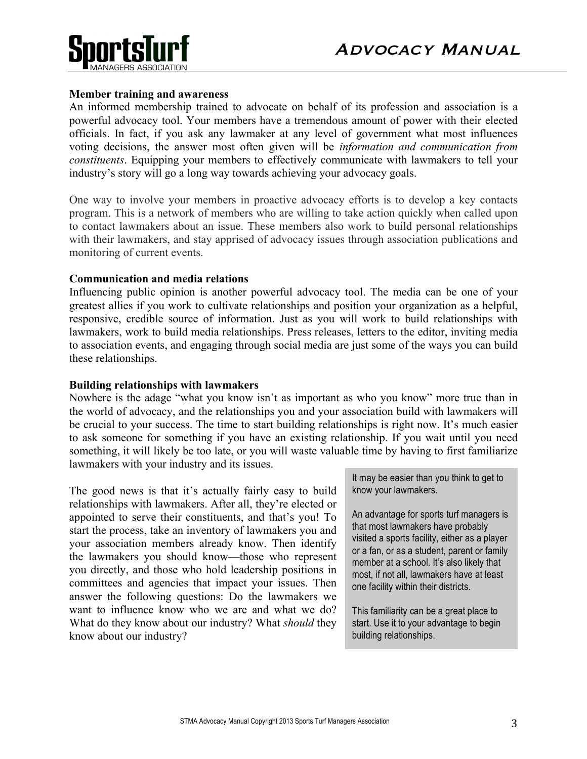

## **Member training and awareness**

An informed membership trained to advocate on behalf of its profession and association is a powerful advocacy tool. Your members have a tremendous amount of power with their elected officials. In fact, if you ask any lawmaker at any level of government what most influences voting decisions, the answer most often given will be *information and communication from constituents*. Equipping your members to effectively communicate with lawmakers to tell your industry's story will go a long way towards achieving your advocacy goals.

One way to involve your members in proactive advocacy efforts is to develop a key contacts program. This is a network of members who are willing to take action quickly when called upon to contact lawmakers about an issue. These members also work to build personal relationships with their lawmakers, and stay apprised of advocacy issues through association publications and monitoring of current events.

#### **Communication and media relations**

Influencing public opinion is another powerful advocacy tool. The media can be one of your greatest allies if you work to cultivate relationships and position your organization as a helpful, responsive, credible source of information. Just as you will work to build relationships with lawmakers, work to build media relationships. Press releases, letters to the editor, inviting media to association events, and engaging through social media are just some of the ways you can build these relationships.

### **Building relationships with lawmakers**

Nowhere is the adage "what you know isn't as important as who you know" more true than in the world of advocacy, and the relationships you and your association build with lawmakers will be crucial to your success. The time to start building relationships is right now. It's much easier to ask someone for something if you have an existing relationship. If you wait until you need something, it will likely be too late, or you will waste valuable time by having to first familiarize lawmakers with your industry and its issues.

The good news is that it's actually fairly easy to build relationships with lawmakers. After all, they're elected or appointed to serve their constituents, and that's you! To start the process, take an inventory of lawmakers you and your association members already know. Then identify the lawmakers you should know—those who represent you directly, and those who hold leadership positions in committees and agencies that impact your issues. Then answer the following questions: Do the lawmakers we want to influence know who we are and what we do? What do they know about our industry? What *should* they know about our industry?

It may be easier than you think to get to know your lawmakers.

An advantage for sports turf managers is that most lawmakers have probably visited a sports facility, either as a player or a fan, or as a student, parent or family member at a school. It's also likely that most, if not all, lawmakers have at least one facility within their districts.

This familiarity can be a great place to start. Use it to your advantage to begin building relationships.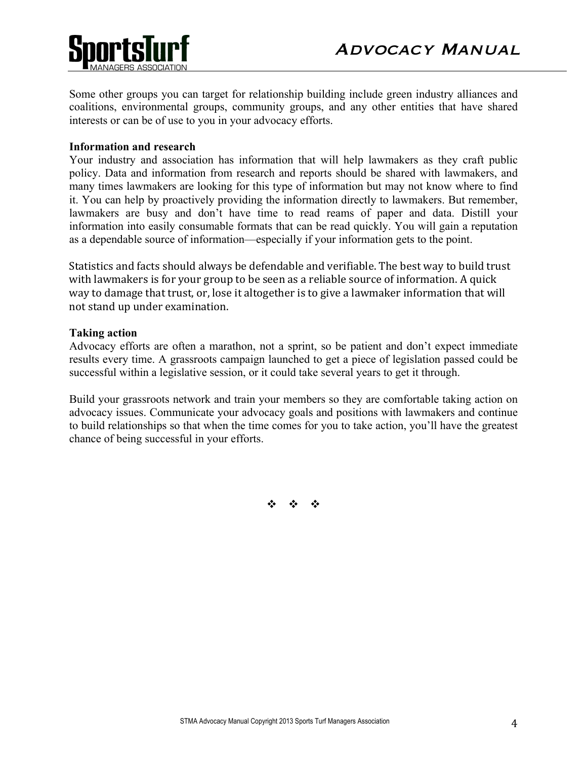

Some other groups you can target for relationship building include green industry alliances and coalitions, environmental groups, community groups, and any other entities that have shared interests or can be of use to you in your advocacy efforts.

### **Information and research**

Your industry and association has information that will help lawmakers as they craft public policy. Data and information from research and reports should be shared with lawmakers, and many times lawmakers are looking for this type of information but may not know where to find it. You can help by proactively providing the information directly to lawmakers. But remember, lawmakers are busy and don't have time to read reams of paper and data. Distill your information into easily consumable formats that can be read quickly. You will gain a reputation as a dependable source of information—especially if your information gets to the point.

Statistics and facts should always be defendable and verifiable. The best way to build trust with lawmakers is for your group to be seen as a reliable source of information. A quick way to damage that trust, or, lose it altogether is to give a lawmaker information that will not stand up under examination.

#### **Taking action**

Advocacy efforts are often a marathon, not a sprint, so be patient and don't expect immediate results every time. A grassroots campaign launched to get a piece of legislation passed could be successful within a legislative session, or it could take several years to get it through.

Build your grassroots network and train your members so they are comfortable taking action on advocacy issues. Communicate your advocacy goals and positions with lawmakers and continue to build relationships so that when the time comes for you to take action, you'll have the greatest chance of being successful in your efforts.

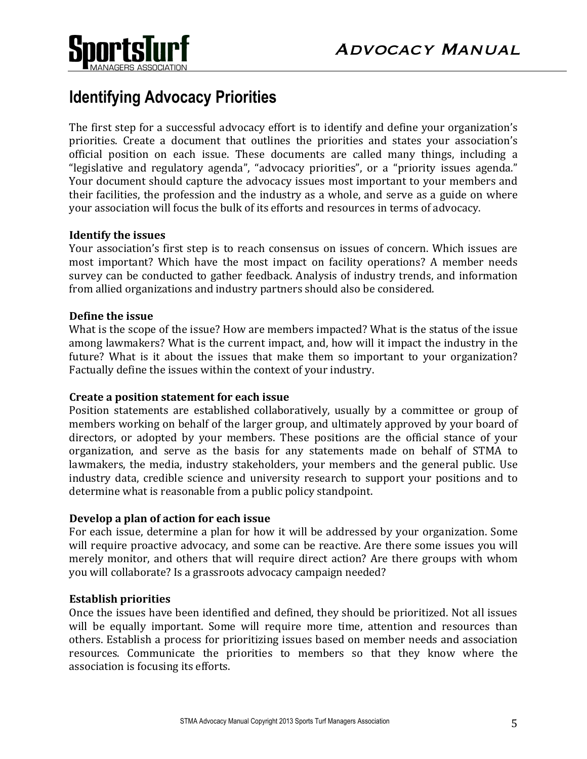

# **Identifying Advocacy Priorities**

The first step for a successful advocacy effort is to identify and define your organization's priorities. Create a document that outlines the priorities and states your association's official position on each issue. These documents are called many things, including a "legislative and regulatory agenda", "advocacy priorities", or a "priority issues agenda." Your document should capture the advocacy issues most important to your members and their facilities, the profession and the industry as a whole, and serve as a guide on where your association will focus the bulk of its efforts and resources in terms of advocacy.

## **Identify the issues**

Your association's first step is to reach consensus on issues of concern. Which issues are most important? Which have the most impact on facility operations? A member needs survey can be conducted to gather feedback. Analysis of industry trends, and information from allied organizations and industry partners should also be considered.

## **Define the issue**

What is the scope of the issue? How are members impacted? What is the status of the issue among lawmakers? What is the current impact, and, how will it impact the industry in the future? What is it about the issues that make them so important to your organization? Factually define the issues within the context of your industry.

## **Create a position statement for each issue**

Position statements are established collaboratively, usually by a committee or group of members working on behalf of the larger group, and ultimately approved by your board of directors, or adopted by your members. These positions are the official stance of your organization, and serve as the basis for any statements made on behalf of STMA to lawmakers, the media, industry stakeholders, your members and the general public. Use industry data, credible science and university research to support your positions and to determine what is reasonable from a public policy standpoint.

## **Develop a plan of action for each issue**

For each issue, determine a plan for how it will be addressed by your organization. Some will require proactive advocacy, and some can be reactive. Are there some issues you will merely monitor, and others that will require direct action? Are there groups with whom you will collaborate? Is a grassroots advocacy campaign needed?

## **Establish priorities**

Once the issues have been identified and defined, they should be prioritized. Not all issues will be equally important. Some will require more time, attention and resources than others. Establish a process for prioritizing issues based on member needs and association resources. Communicate the priorities to members so that they know where the association is focusing its efforts.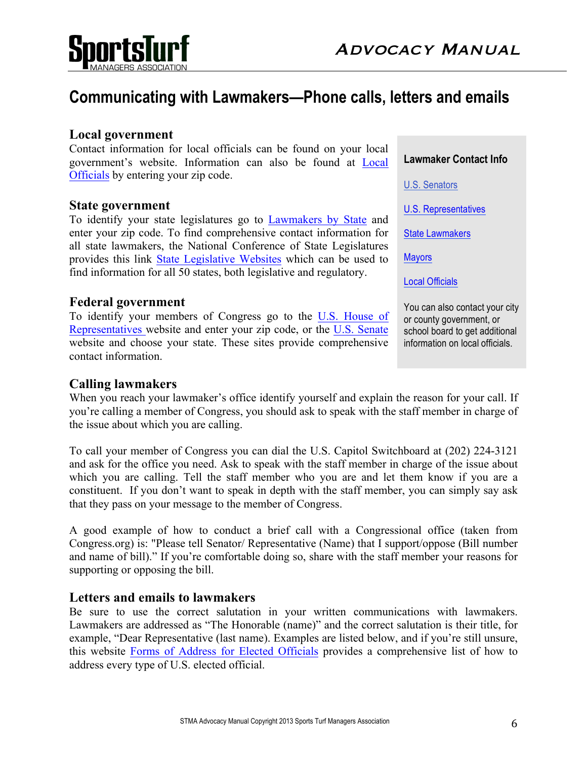

# **Communicating with Lawmakers—Phone calls, letters and emails**

# **Local government**

Contact information for local officials can be found on your local government's website. Information can also be found at Local Officials by entering your zip code.

# **State government**

To identify your state legislatures go to Lawmakers by State and enter your zip code. To find comprehensive contact information for all state lawmakers, the National Conference of State Legislatures provides this link State Legislative Websites which can be used to find information for all 50 states, both legislative and regulatory.

# **Federal government**

To identify your members of Congress go to the U.S. House of Representatives website and enter your zip code, or the U.S. Senate website and choose your state. These sites provide comprehensive contact information.

# **Calling lawmakers**

When you reach your lawmaker's office identify yourself and explain the reason for your call. If you're calling a member of Congress, you should ask to speak with the staff member in charge of the issue about which you are calling.

To call your member of Congress you can dial the U.S. Capitol Switchboard at (202) 224-3121 and ask for the office you need. Ask to speak with the staff member in charge of the issue about which you are calling. Tell the staff member who you are and let them know if you are a constituent. If you don't want to speak in depth with the staff member, you can simply say ask that they pass on your message to the member of Congress.

A good example of how to conduct a brief call with a Congressional office (taken from Congress.org) is: "Please tell Senator/ Representative (Name) that I support/oppose (Bill number and name of bill)." If you're comfortable doing so, share with the staff member your reasons for supporting or opposing the bill.

# **Letters and emails to lawmakers**

Be sure to use the correct salutation in your written communications with lawmakers. Lawmakers are addressed as "The Honorable (name)" and the correct salutation is their title, for example, "Dear Representative (last name). Examples are listed below, and if you're still unsure, this website Forms of Address for Elected Officials provides a comprehensive list of how to address every type of U.S. elected official.

**Lawmaker Contact Info**

U.S. Senators

U.S. Representatives

State Lawmakers

**Mayors** 

Local Officials

You can also contact your city or county government, or school board to get additional information on local officials.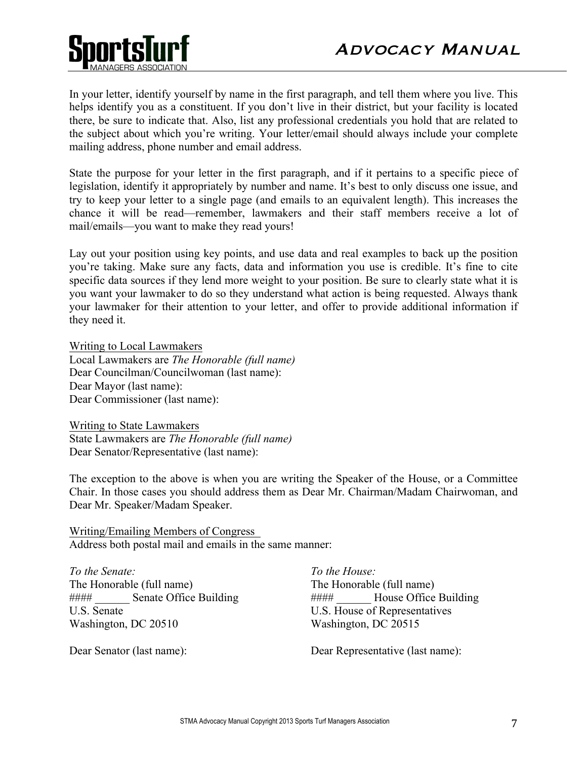

In your letter, identify yourself by name in the first paragraph, and tell them where you live. This helps identify you as a constituent. If you don't live in their district, but your facility is located there, be sure to indicate that. Also, list any professional credentials you hold that are related to the subject about which you're writing. Your letter/email should always include your complete mailing address, phone number and email address.

State the purpose for your letter in the first paragraph, and if it pertains to a specific piece of legislation, identify it appropriately by number and name. It's best to only discuss one issue, and try to keep your letter to a single page (and emails to an equivalent length). This increases the chance it will be read—remember, lawmakers and their staff members receive a lot of mail/emails—you want to make they read yours!

Lay out your position using key points, and use data and real examples to back up the position you're taking. Make sure any facts, data and information you use is credible. It's fine to cite specific data sources if they lend more weight to your position. Be sure to clearly state what it is you want your lawmaker to do so they understand what action is being requested. Always thank your lawmaker for their attention to your letter, and offer to provide additional information if they need it.

Writing to Local Lawmakers Local Lawmakers are *The Honorable (full name)* Dear Councilman/Councilwoman (last name): Dear Mayor (last name): Dear Commissioner (last name):

Writing to State Lawmakers State Lawmakers are *The Honorable (full name)* Dear Senator/Representative (last name):

The exception to the above is when you are writing the Speaker of the House, or a Committee Chair. In those cases you should address them as Dear Mr. Chairman/Madam Chairwoman, and Dear Mr. Speaker/Madam Speaker.

Writing/Emailing Members of Congress Address both postal mail and emails in the same manner:

*To the Senate:* The Honorable (full name) #### Senate Office Building U.S. Senate Washington, DC 20510

Dear Senator (last name):

*To the House:* The Honorable (full name) #### \_\_\_\_\_\_ House Office Building U.S. House of Representatives Washington, DC 20515

Dear Representative (last name):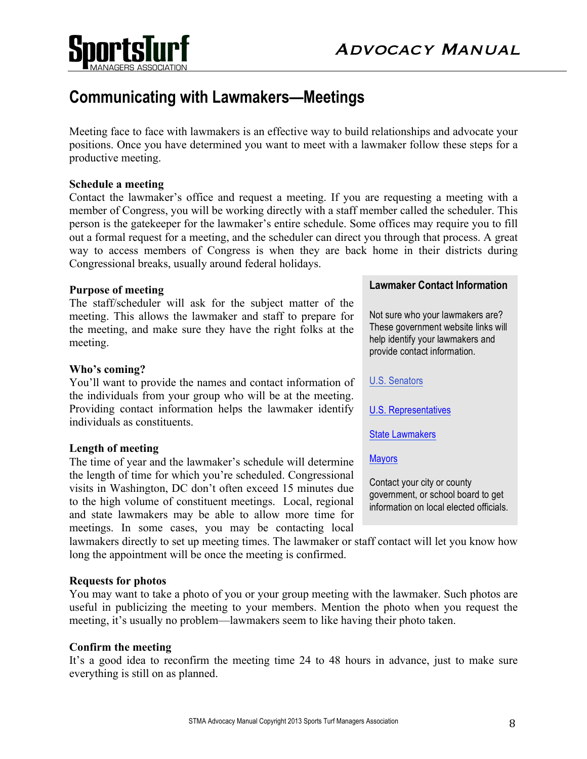

# **Communicating with Lawmakers—Meetings**

 

Meeting face to face with lawmakers is an effective way to build relationships and advocate your positions. Once you have determined you want to meet with a lawmaker follow these steps for a productive meeting.

## **Schedule a meeting**

Sportsl

Contact the lawmaker's office and request a meeting. If you are requesting a meeting with a member of Congress, you will be working directly with a staff member called the scheduler. This person is the gatekeeper for the lawmaker's entire schedule. Some offices may require you to fill out a formal request for a meeting, and the scheduler can direct you through that process. A great way to access members of Congress is when they are back home in their districts during Congressional breaks, usually around federal holidays.

#### **Purpose of meeting**

The staff/scheduler will ask for the subject matter of the meeting. This allows the lawmaker and staff to prepare for the meeting, and make sure they have the right folks at the meeting.

#### **Who's coming?**

You'll want to provide the names and contact information of the individuals from your group who will be at the meeting. Providing contact information helps the lawmaker identify individuals as constituents.

#### **Length of meeting**

The time of year and the lawmaker's schedule will determine the length of time for which you're scheduled. Congressional visits in Washington, DC don't often exceed 15 minutes due to the high volume of constituent meetings. Local, regional and state lawmakers may be able to allow more time for meetings. In some cases, you may be contacting local

#### **Lawmaker Contact Information**

Not sure who your lawmakers are? These government website links will help identify your lawmakers and provide contact information.

#### U.S. Senators

U.S. Representatives

State Lawmakers

#### **Mayors**

Contact your city or county government, or school board to get information on local elected officials.

lawmakers directly to set up meeting times. The lawmaker or staff contact will let you know how long the appointment will be once the meeting is confirmed.

#### **Requests for photos**

You may want to take a photo of you or your group meeting with the lawmaker. Such photos are useful in publicizing the meeting to your members. Mention the photo when you request the meeting, it's usually no problem—lawmakers seem to like having their photo taken.

#### **Confirm the meeting**

It's a good idea to reconfirm the meeting time 24 to 48 hours in advance, just to make sure everything is still on as planned.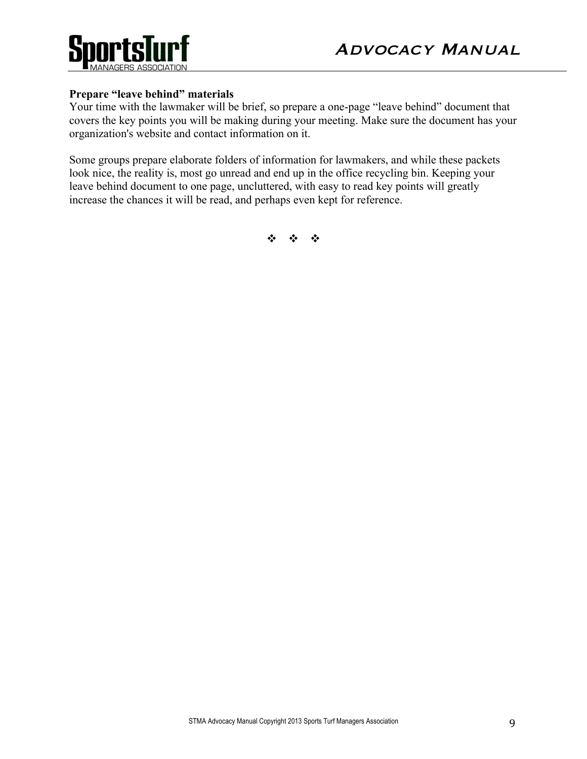

# **Prepare "leave behind" materials**

Your time with the lawmaker will be brief, so prepare a one-page "leave behind" document that covers the key points you will be making during your meeting. Make sure the document has your organization's website and contact information on it.

Some groups prepare elaborate folders of information for lawmakers, and while these packets look nice, the reality is, most go unread and end up in the office recycling bin. Keeping your leave behind document to one page, uncluttered, with easy to read key points will greatly increase the chances it will be read, and perhaps even kept for reference.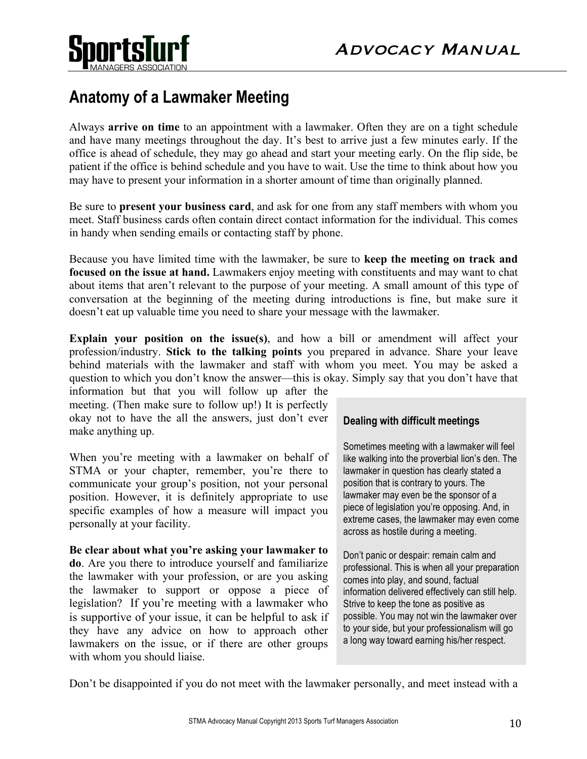

# **Anatomy of a Lawmaker Meeting**

Always **arrive on time** to an appointment with a lawmaker. Often they are on a tight schedule and have many meetings throughout the day. It's best to arrive just a few minutes early. If the office is ahead of schedule, they may go ahead and start your meeting early. On the flip side, be patient if the office is behind schedule and you have to wait. Use the time to think about how you may have to present your information in a shorter amount of time than originally planned.

Be sure to **present your business card**, and ask for one from any staff members with whom you meet. Staff business cards often contain direct contact information for the individual. This comes in handy when sending emails or contacting staff by phone.

Because you have limited time with the lawmaker, be sure to **keep the meeting on track and focused on the issue at hand.** Lawmakers enjoy meeting with constituents and may want to chat about items that aren't relevant to the purpose of your meeting. A small amount of this type of conversation at the beginning of the meeting during introductions is fine, but make sure it doesn't eat up valuable time you need to share your message with the lawmaker.

**Explain your position on the issue(s)**, and how a bill or amendment will affect your profession/industry. **Stick to the talking points** you prepared in advance. Share your leave behind materials with the lawmaker and staff with whom you meet. You may be asked a question to which you don't know the answer—this is okay. Simply say that you don't have that

information but that you will follow up after the meeting. (Then make sure to follow up!) It is perfectly okay not to have the all the answers, just don't ever make anything up.

When you're meeting with a lawmaker on behalf of STMA or your chapter, remember, you're there to communicate your group's position, not your personal position. However, it is definitely appropriate to use specific examples of how a measure will impact you personally at your facility.

**Be clear about what you're asking your lawmaker to do**. Are you there to introduce yourself and familiarize the lawmaker with your profession, or are you asking the lawmaker to support or oppose a piece of legislation? If you're meeting with a lawmaker who is supportive of your issue, it can be helpful to ask if they have any advice on how to approach other lawmakers on the issue, or if there are other groups with whom you should liaise.

# **Dealing with difficult meetings**

Sometimes meeting with a lawmaker will feel like walking into the proverbial lion's den. The lawmaker in question has clearly stated a position that is contrary to yours. The lawmaker may even be the sponsor of a piece of legislation you're opposing. And, in extreme cases, the lawmaker may even come across as hostile during a meeting.

Don't panic or despair: remain calm and professional. This is when all your preparation comes into play, and sound, factual information delivered effectively can still help. Strive to keep the tone as positive as possible. You may not win the lawmaker over to your side, but your professionalism will go a long way toward earning his/her respect.

Don't be disappointed if you do not meet with the lawmaker personally, and meet instead with a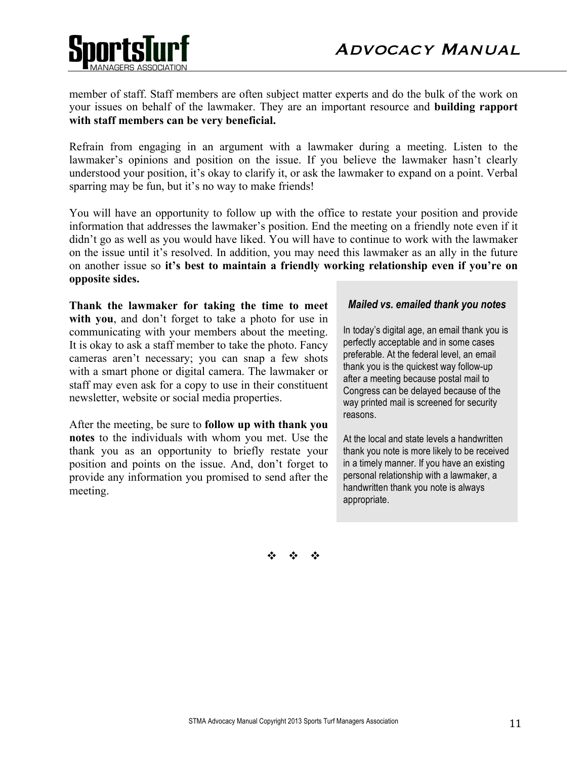



member of staff. Staff members are often subject matter experts and do the bulk of the work on your issues on behalf of the lawmaker. They are an important resource and **building rapport with staff members can be very beneficial.**

Refrain from engaging in an argument with a lawmaker during a meeting. Listen to the lawmaker's opinions and position on the issue. If you believe the lawmaker hasn't clearly understood your position, it's okay to clarify it, or ask the lawmaker to expand on a point. Verbal sparring may be fun, but it's no way to make friends!

You will have an opportunity to follow up with the office to restate your position and provide information that addresses the lawmaker's position. End the meeting on a friendly note even if it didn't go as well as you would have liked. You will have to continue to work with the lawmaker on the issue until it's resolved. In addition, you may need this lawmaker as an ally in the future on another issue so **it's best to maintain a friendly working relationship even if you're on opposite sides.** 

**Thank the lawmaker for taking the time to meet**  with you, and don't forget to take a photo for use in communicating with your members about the meeting. It is okay to ask a staff member to take the photo. Fancy cameras aren't necessary; you can snap a few shots with a smart phone or digital camera. The lawmaker or staff may even ask for a copy to use in their constituent newsletter, website or social media properties.

After the meeting, be sure to **follow up with thank you notes** to the individuals with whom you met. Use the thank you as an opportunity to briefly restate your position and points on the issue. And, don't forget to provide any information you promised to send after the meeting.

#### *Mailed vs. emailed thank you notes*

In today's digital age, an email thank you is perfectly acceptable and in some cases preferable. At the federal level, an email thank you is the quickest way follow-up after a meeting because postal mail to Congress can be delayed because of the way printed mail is screened for security reasons.

At the local and state levels a handwritten thank you note is more likely to be received in a timely manner. If you have an existing personal relationship with a lawmaker, a handwritten thank you note is always appropriate.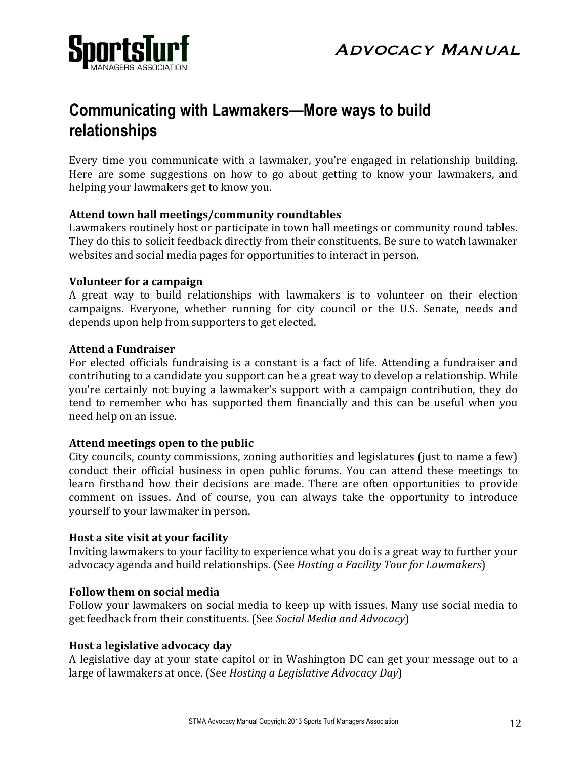

# **Communicating with Lawmakers—More ways to build relationships**

Every time you communicate with a lawmaker, you're engaged in relationship building. Here are some suggestions on how to go about getting to know your lawmakers, and helping your lawmakers get to know you.

# Attend town hall meetings/community roundtables

Lawmakers routinely host or participate in town hall meetings or community round tables. They do this to solicit feedback directly from their constituents. Be sure to watch lawmaker websites and social media pages for opportunities to interact in person.

# **Volunteer for a campaign**

A great way to build relationships with lawmakers is to volunteer on their election campaigns. Everyone, whether running for city council or the U.S. Senate, needs and depends upon help from supporters to get elected.

## **Attend a Fundraiser**

For elected officials fundraising is a constant is a fact of life. Attending a fundraiser and contributing to a candidate you support can be a great way to develop a relationship. While you're certainly not buying a lawmaker's support with a campaign contribution, they do tend to remember who has supported them financially and this can be useful when you need help on an issue.

# Attend meetings open to the public

City councils, county commissions, zoning authorities and legislatures (just to name a few) conduct their official business in open public forums. You can attend these meetings to learn firsthand how their decisions are made. There are often opportunities to provide comment on issues. And of course, you can always take the opportunity to introduce yourself to your lawmaker in person.

## **Host a site visit at your facility**

Inviting lawmakers to your facility to experience what you do is a great way to further your advocacy agenda and build relationships. (See *Hosting a Facility Tour for Lawmakers*)

# **Follow them on social media**

Follow your lawmakers on social media to keep up with issues. Many use social media to get feedback from their constituents. (See *Social Media and Advocacy*)

# **Host a legislative advocacy day**

A legislative day at your state capitol or in Washington DC can get your message out to a large of lawmakers at once. (See *Hosting a Legislative Advocacy Day*)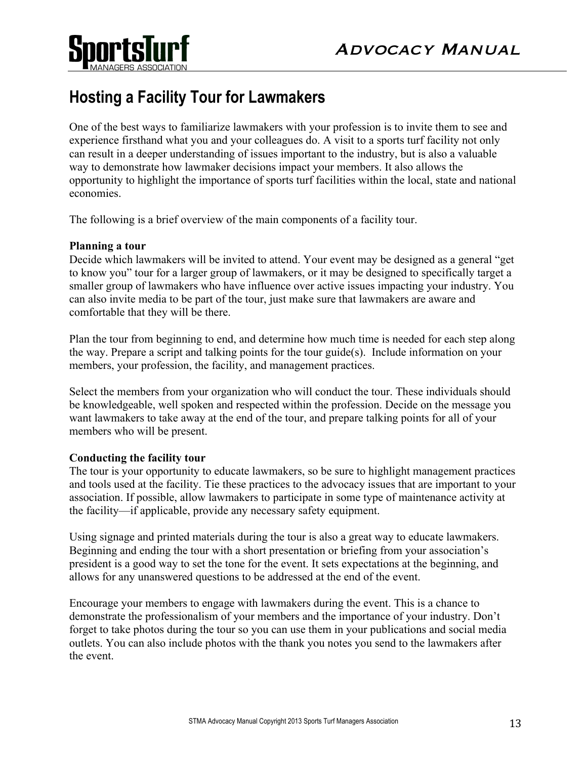

# **Hosting a Facility Tour for Lawmakers**

One of the best ways to familiarize lawmakers with your profession is to invite them to see and experience firsthand what you and your colleagues do. A visit to a sports turf facility not only can result in a deeper understanding of issues important to the industry, but is also a valuable way to demonstrate how lawmaker decisions impact your members. It also allows the opportunity to highlight the importance of sports turf facilities within the local, state and national economies.

The following is a brief overview of the main components of a facility tour.

## **Planning a tour**

Decide which lawmakers will be invited to attend. Your event may be designed as a general "get to know you" tour for a larger group of lawmakers, or it may be designed to specifically target a smaller group of lawmakers who have influence over active issues impacting your industry. You can also invite media to be part of the tour, just make sure that lawmakers are aware and comfortable that they will be there.

Plan the tour from beginning to end, and determine how much time is needed for each step along the way. Prepare a script and talking points for the tour guide(s). Include information on your members, your profession, the facility, and management practices.

Select the members from your organization who will conduct the tour. These individuals should be knowledgeable, well spoken and respected within the profession. Decide on the message you want lawmakers to take away at the end of the tour, and prepare talking points for all of your members who will be present.

## **Conducting the facility tour**

The tour is your opportunity to educate lawmakers, so be sure to highlight management practices and tools used at the facility. Tie these practices to the advocacy issues that are important to your association. If possible, allow lawmakers to participate in some type of maintenance activity at the facility—if applicable, provide any necessary safety equipment.

Using signage and printed materials during the tour is also a great way to educate lawmakers. Beginning and ending the tour with a short presentation or briefing from your association's president is a good way to set the tone for the event. It sets expectations at the beginning, and allows for any unanswered questions to be addressed at the end of the event.

Encourage your members to engage with lawmakers during the event. This is a chance to demonstrate the professionalism of your members and the importance of your industry. Don't forget to take photos during the tour so you can use them in your publications and social media outlets. You can also include photos with the thank you notes you send to the lawmakers after the event.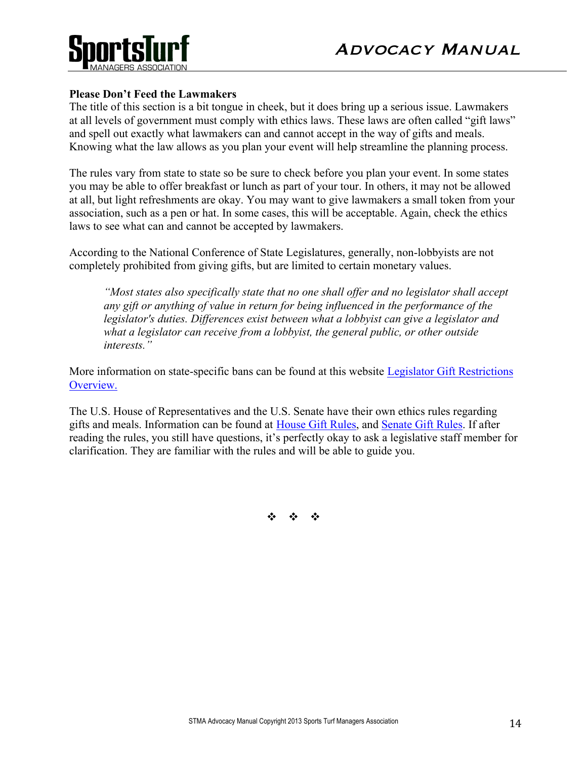

## **Please Don't Feed the Lawmakers**

The title of this section is a bit tongue in cheek, but it does bring up a serious issue. Lawmakers at all levels of government must comply with ethics laws. These laws are often called "gift laws" and spell out exactly what lawmakers can and cannot accept in the way of gifts and meals. Knowing what the law allows as you plan your event will help streamline the planning process.

The rules vary from state to state so be sure to check before you plan your event. In some states you may be able to offer breakfast or lunch as part of your tour. In others, it may not be allowed at all, but light refreshments are okay. You may want to give lawmakers a small token from your association, such as a pen or hat. In some cases, this will be acceptable. Again, check the ethics laws to see what can and cannot be accepted by lawmakers.

According to the National Conference of State Legislatures, generally, non-lobbyists are not completely prohibited from giving gifts, but are limited to certain monetary values.

*"Most states also specifically state that no one shall offer and no legislator shall accept any gift or anything of value in return for being influenced in the performance of the legislator's duties. Differences exist between what a lobbyist can give a legislator and what a legislator can receive from a lobbyist, the general public, or other outside interests."*

More information on state-specific bans can be found at this website Legislator Gift Restrictions Overview.

The U.S. House of Representatives and the U.S. Senate have their own ethics rules regarding gifts and meals. Information can be found at House Gift Rules, and Senate Gift Rules. If after reading the rules, you still have questions, it's perfectly okay to ask a legislative staff member for clarification. They are familiar with the rules and will be able to guide you.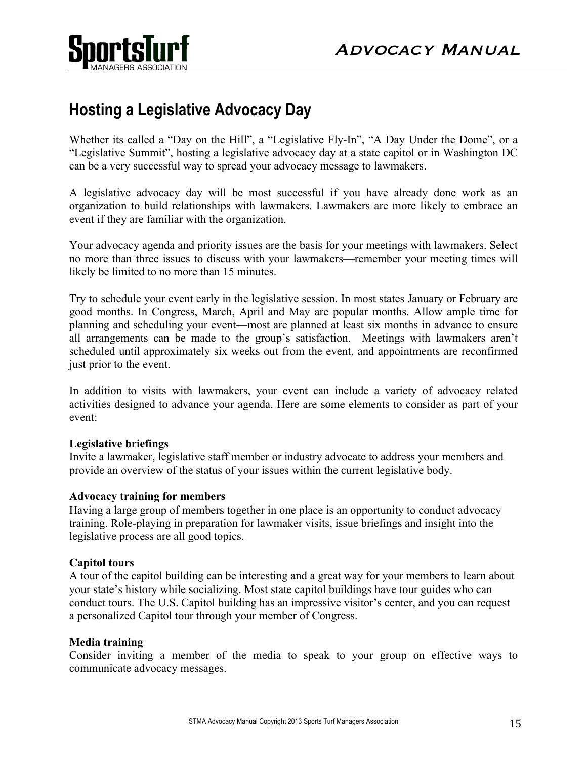

# **Hosting a Legislative Advocacy Day**

Whether its called a "Day on the Hill", a "Legislative Fly-In", "A Day Under the Dome", or a "Legislative Summit", hosting a legislative advocacy day at a state capitol or in Washington DC can be a very successful way to spread your advocacy message to lawmakers.

A legislative advocacy day will be most successful if you have already done work as an organization to build relationships with lawmakers. Lawmakers are more likely to embrace an event if they are familiar with the organization.

Your advocacy agenda and priority issues are the basis for your meetings with lawmakers. Select no more than three issues to discuss with your lawmakers—remember your meeting times will likely be limited to no more than 15 minutes.

Try to schedule your event early in the legislative session. In most states January or February are good months. In Congress, March, April and May are popular months. Allow ample time for planning and scheduling your event—most are planned at least six months in advance to ensure all arrangements can be made to the group's satisfaction. Meetings with lawmakers aren't scheduled until approximately six weeks out from the event, and appointments are reconfirmed just prior to the event.

In addition to visits with lawmakers, your event can include a variety of advocacy related activities designed to advance your agenda. Here are some elements to consider as part of your event:

## **Legislative briefings**

Invite a lawmaker, legislative staff member or industry advocate to address your members and provide an overview of the status of your issues within the current legislative body.

## **Advocacy training for members**

Having a large group of members together in one place is an opportunity to conduct advocacy training. Role-playing in preparation for lawmaker visits, issue briefings and insight into the legislative process are all good topics.

## **Capitol tours**

A tour of the capitol building can be interesting and a great way for your members to learn about your state's history while socializing. Most state capitol buildings have tour guides who can conduct tours. The U.S. Capitol building has an impressive visitor's center, and you can request a personalized Capitol tour through your member of Congress.

## **Media training**

Consider inviting a member of the media to speak to your group on effective ways to communicate advocacy messages.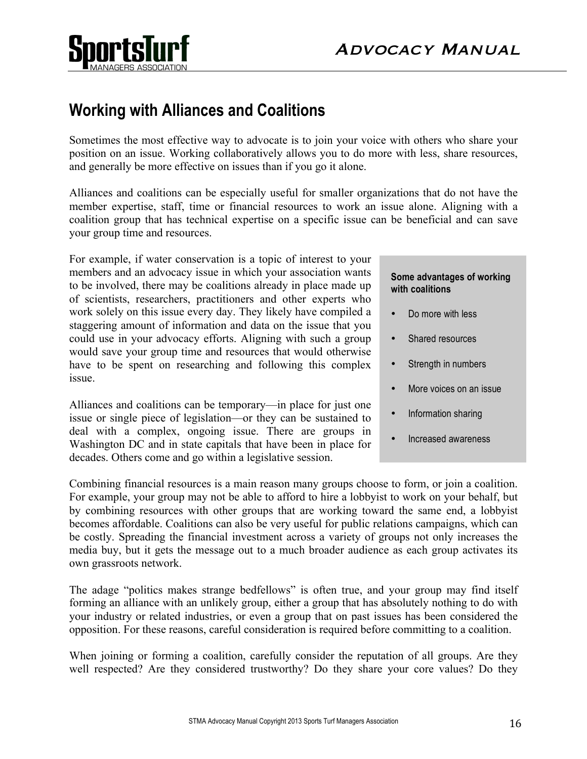



# **Working with Alliances and Coalitions**

Sometimes the most effective way to advocate is to join your voice with others who share your position on an issue. Working collaboratively allows you to do more with less, share resources, and generally be more effective on issues than if you go it alone.

Alliances and coalitions can be especially useful for smaller organizations that do not have the member expertise, staff, time or financial resources to work an issue alone. Aligning with a coalition group that has technical expertise on a specific issue can be beneficial and can save your group time and resources.

For example, if water conservation is a topic of interest to your members and an advocacy issue in which your association wants to be involved, there may be coalitions already in place made up of scientists, researchers, practitioners and other experts who work solely on this issue every day. They likely have compiled a staggering amount of information and data on the issue that you could use in your advocacy efforts. Aligning with such a group would save your group time and resources that would otherwise have to be spent on researching and following this complex issue.

Alliances and coalitions can be temporary—in place for just one issue or single piece of legislation—or they can be sustained to deal with a complex, ongoing issue. There are groups in Washington DC and in state capitals that have been in place for decades. Others come and go within a legislative session.

#### **Some advantages of working with coalitions**

- Do more with less
- Shared resources
- Strength in numbers
- More voices on an issue
- Information sharing
- Increased awareness

Combining financial resources is a main reason many groups choose to form, or join a coalition. For example, your group may not be able to afford to hire a lobbyist to work on your behalf, but by combining resources with other groups that are working toward the same end, a lobbyist becomes affordable. Coalitions can also be very useful for public relations campaigns, which can be costly. Spreading the financial investment across a variety of groups not only increases the media buy, but it gets the message out to a much broader audience as each group activates its own grassroots network.

The adage "politics makes strange bedfellows" is often true, and your group may find itself forming an alliance with an unlikely group, either a group that has absolutely nothing to do with your industry or related industries, or even a group that on past issues has been considered the opposition. For these reasons, careful consideration is required before committing to a coalition.

When joining or forming a coalition, carefully consider the reputation of all groups. Are they well respected? Are they considered trustworthy? Do they share your core values? Do they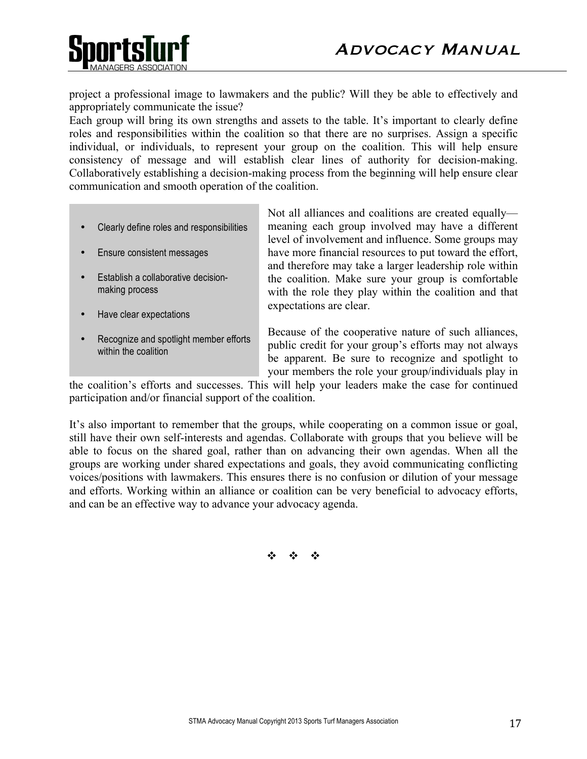

project a professional image to lawmakers and the public? Will they be able to effectively and appropriately communicate the issue?

Each group will bring its own strengths and assets to the table. It's important to clearly define roles and responsibilities within the coalition so that there are no surprises. Assign a specific individual, or individuals, to represent your group on the coalition. This will help ensure consistency of message and will establish clear lines of authority for decision-making. Collaboratively establishing a decision-making process from the beginning will help ensure clear communication and smooth operation of the coalition.

- Clearly define roles and responsibilities
- Ensure consistent messages
- Establish a collaborative decisionmaking process
- Have clear expectations
- Recognize and spotlight member efforts within the coalition

Not all alliances and coalitions are created equally meaning each group involved may have a different level of involvement and influence. Some groups may have more financial resources to put toward the effort, and therefore may take a larger leadership role within the coalition. Make sure your group is comfortable with the role they play within the coalition and that expectations are clear.

Because of the cooperative nature of such alliances, public credit for your group's efforts may not always be apparent. Be sure to recognize and spotlight to your members the role your group/individuals play in

the coalition's efforts and successes. This will help your leaders make the case for continued participation and/or financial support of the coalition.

It's also important to remember that the groups, while cooperating on a common issue or goal, still have their own self-interests and agendas. Collaborate with groups that you believe will be able to focus on the shared goal, rather than on advancing their own agendas. When all the groups are working under shared expectations and goals, they avoid communicating conflicting voices/positions with lawmakers. This ensures there is no confusion or dilution of your message and efforts. Working within an alliance or coalition can be very beneficial to advocacy efforts, and can be an effective way to advance your advocacy agenda.

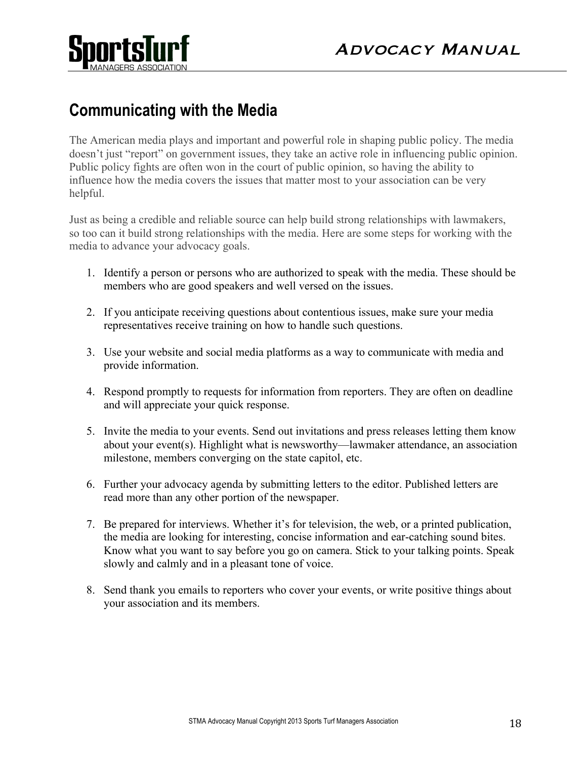

# **Communicating with the Media**

The American media plays and important and powerful role in shaping public policy. The media doesn't just "report" on government issues, they take an active role in influencing public opinion. Public policy fights are often won in the court of public opinion, so having the ability to influence how the media covers the issues that matter most to your association can be very helpful.

Just as being a credible and reliable source can help build strong relationships with lawmakers, so too can it build strong relationships with the media. Here are some steps for working with the media to advance your advocacy goals.

- 1. Identify a person or persons who are authorized to speak with the media. These should be members who are good speakers and well versed on the issues.
- 2. If you anticipate receiving questions about contentious issues, make sure your media representatives receive training on how to handle such questions.
- 3. Use your website and social media platforms as a way to communicate with media and provide information.
- 4. Respond promptly to requests for information from reporters. They are often on deadline and will appreciate your quick response.
- 5. Invite the media to your events. Send out invitations and press releases letting them know about your event(s). Highlight what is newsworthy—lawmaker attendance, an association milestone, members converging on the state capitol, etc.
- 6. Further your advocacy agenda by submitting letters to the editor. Published letters are read more than any other portion of the newspaper.
- 7. Be prepared for interviews. Whether it's for television, the web, or a printed publication, the media are looking for interesting, concise information and ear-catching sound bites. Know what you want to say before you go on camera. Stick to your talking points. Speak slowly and calmly and in a pleasant tone of voice.
- 8. Send thank you emails to reporters who cover your events, or write positive things about your association and its members.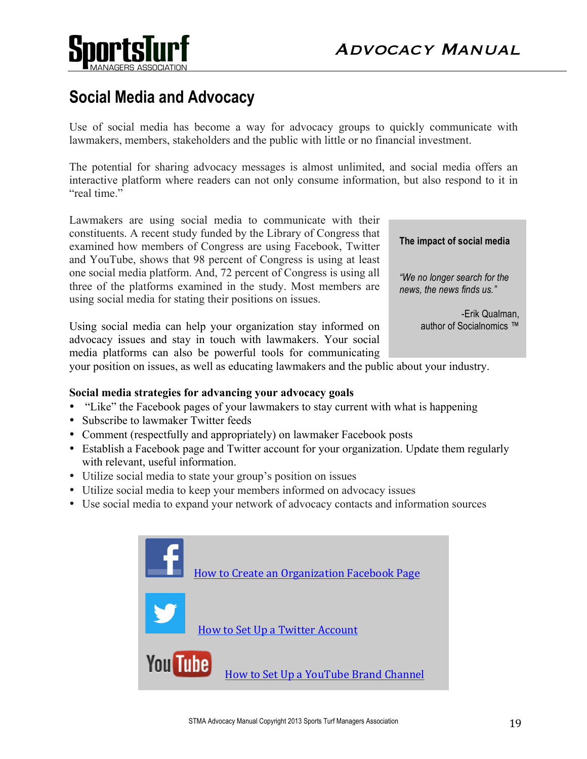

# **Social Media and Advocacy**

Use of social media has become a way for advocacy groups to quickly communicate with lawmakers, members, stakeholders and the public with little or no financial investment.

The potential for sharing advocacy messages is almost unlimited, and social media offers an interactive platform where readers can not only consume information, but also respond to it in "real time"

Lawmakers are using social media to communicate with their constituents. A recent study funded by the Library of Congress that examined how members of Congress are using Facebook, Twitter and YouTube, shows that 98 percent of Congress is using at least one social media platform. And, 72 percent of Congress is using all three of the platforms examined in the study. Most members are using social media for stating their positions on issues.

Using social media can help your organization stay informed on advocacy issues and stay in touch with lawmakers. Your social media platforms can also be powerful tools for communicating **The impact of social media**

*"We no longer search for the news, the news finds us."* 

> -Erik Qualman, author of Socialnomics ™

your position on issues, as well as educating lawmakers and the public about your industry.

## **Social media strategies for advancing your advocacy goals**

- "Like" the Facebook pages of your lawmakers to stay current with what is happening
- Subscribe to lawmaker Twitter feeds
- Comment (respectfully and appropriately) on lawmaker Facebook posts
- Establish a Facebook page and Twitter account for your organization. Update them regularly with relevant, useful information.
- Utilize social media to state your group's position on issues
- Utilize social media to keep your members informed on advocacy issues
- Use social media to expand your network of advocacy contacts and information sources